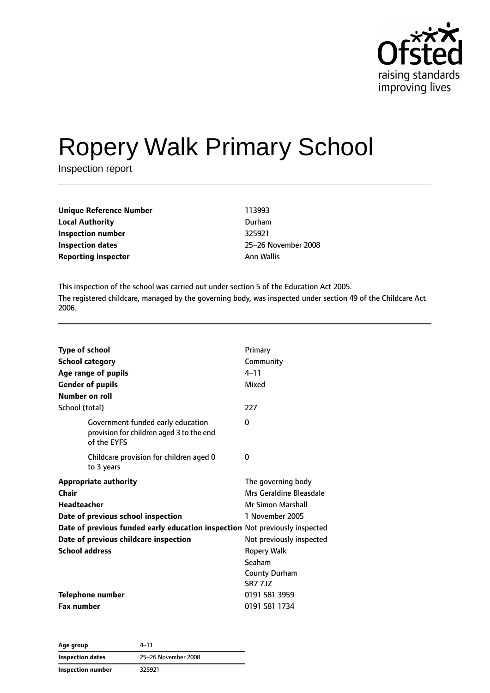

# Ropery Walk Primary School

Inspection report

| <b>Unique Reference Number</b> | 113993     |
|--------------------------------|------------|
| <b>Local Authority</b>         | Durham     |
| Inspection number              | 325921     |
| Inspection dates               | 25-26 Nov  |
| <b>Reporting inspector</b>     | Ann Wallis |

**Inspection dates** 25–26 November 2008

This inspection of the school was carried out under section 5 of the Education Act 2005. The registered childcare, managed by the governing body, was inspected under section 49 of the Childcare Act 2006.

| <b>Type of school</b>                                                                        | Primary                  |
|----------------------------------------------------------------------------------------------|--------------------------|
| <b>School category</b>                                                                       | Community                |
| Age range of pupils                                                                          | $4 - 11$                 |
| <b>Gender of pupils</b>                                                                      | Mixed                    |
| Number on roll                                                                               |                          |
| School (total)                                                                               | 227                      |
| Government funded early education<br>provision for children aged 3 to the end<br>of the EYFS | $\Omega$                 |
| Childcare provision for children aged 0<br>to 3 years                                        | 0                        |
| <b>Appropriate authority</b>                                                                 | The governing body       |
| Chair                                                                                        | Mrs Geraldine Bleasdale  |
| <b>Headteacher</b>                                                                           | <b>Mr Simon Marshall</b> |
| Date of previous school inspection                                                           | 1 November 2005          |
| Date of previous funded early education inspection Not previously inspected                  |                          |
| Date of previous childcare inspection                                                        | Not previously inspected |
| <b>School address</b>                                                                        | Ropery Walk              |
|                                                                                              | Seaham                   |
|                                                                                              | <b>County Durham</b>     |
|                                                                                              | <b>SR7 7J7</b>           |
| <b>Telephone number</b>                                                                      | 0191 581 3959            |
| <b>Fax number</b>                                                                            | 0191 581 1734            |

| Age group               | 4–11                |
|-------------------------|---------------------|
| <b>Inspection dates</b> | 25-26 November 2008 |
| Inspection number       | 325921              |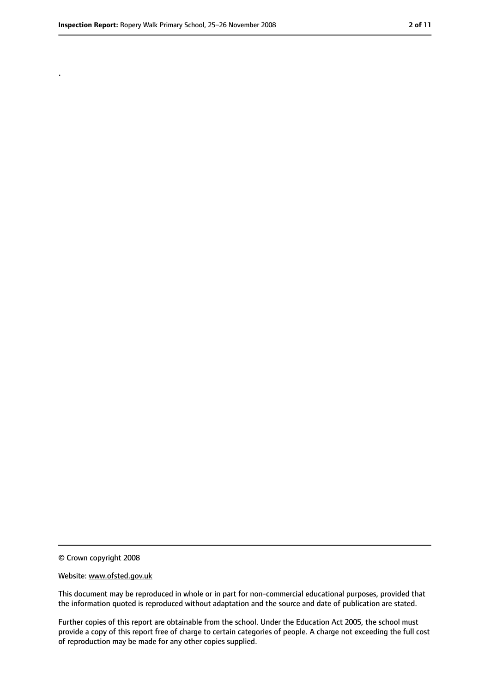.

<sup>©</sup> Crown copyright 2008

Website: www.ofsted.gov.uk

This document may be reproduced in whole or in part for non-commercial educational purposes, provided that the information quoted is reproduced without adaptation and the source and date of publication are stated.

Further copies of this report are obtainable from the school. Under the Education Act 2005, the school must provide a copy of this report free of charge to certain categories of people. A charge not exceeding the full cost of reproduction may be made for any other copies supplied.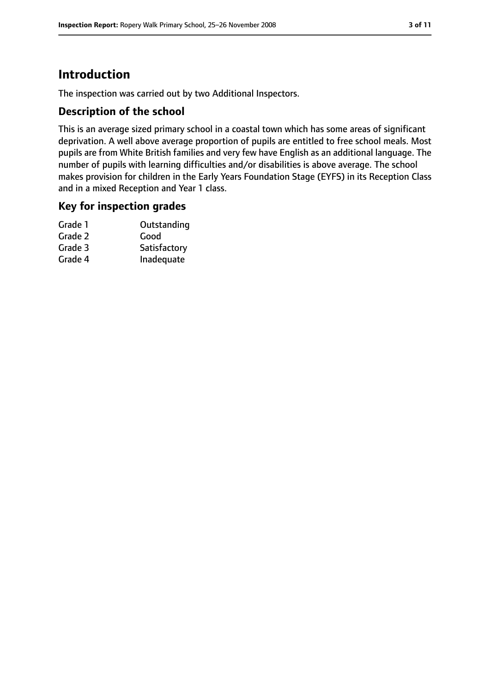# **Introduction**

The inspection was carried out by two Additional Inspectors.

## **Description of the school**

This is an average sized primary school in a coastal town which has some areas of significant deprivation. A well above average proportion of pupils are entitled to free school meals. Most pupils are from White British families and very few have English as an additional language. The number of pupils with learning difficulties and/or disabilities is above average. The school makes provision for children in the Early Years Foundation Stage (EYFS) in its Reception Class and in a mixed Reception and Year 1 class.

## **Key for inspection grades**

| Outstanding  |
|--------------|
| Good         |
| Satisfactory |
| Inadequate   |
|              |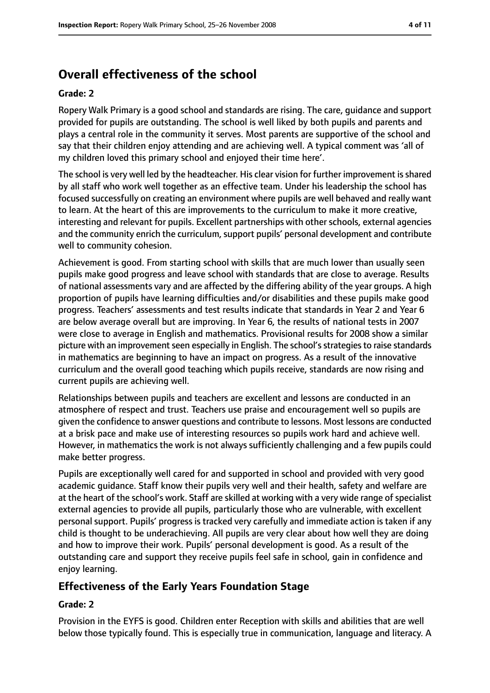# **Overall effectiveness of the school**

#### **Grade: 2**

Ropery Walk Primary is a good school and standards are rising. The care, guidance and support provided for pupils are outstanding. The school is well liked by both pupils and parents and plays a central role in the community it serves. Most parents are supportive of the school and say that their children enjoy attending and are achieving well. A typical comment was 'all of my children loved this primary school and enjoyed their time here'.

The school is very well led by the headteacher. His clear vision for further improvement is shared by all staff who work well together as an effective team. Under his leadership the school has focused successfully on creating an environment where pupils are well behaved and really want to learn. At the heart of this are improvements to the curriculum to make it more creative, interesting and relevant for pupils. Excellent partnerships with other schools, external agencies and the community enrich the curriculum, support pupils' personal development and contribute well to community cohesion.

Achievement is good. From starting school with skills that are much lower than usually seen pupils make good progress and leave school with standards that are close to average. Results of national assessments vary and are affected by the differing ability of the year groups. A high proportion of pupils have learning difficulties and/or disabilities and these pupils make good progress. Teachers' assessments and test results indicate that standards in Year 2 and Year 6 are below average overall but are improving. In Year 6, the results of national tests in 2007 were close to average in English and mathematics. Provisional results for 2008 show a similar picture with an improvement seen especially in English. The school's strategies to raise standards in mathematics are beginning to have an impact on progress. As a result of the innovative curriculum and the overall good teaching which pupils receive, standards are now rising and current pupils are achieving well.

Relationships between pupils and teachers are excellent and lessons are conducted in an atmosphere of respect and trust. Teachers use praise and encouragement well so pupils are given the confidence to answer questions and contribute to lessons. Most lessons are conducted at a brisk pace and make use of interesting resources so pupils work hard and achieve well. However, in mathematics the work is not always sufficiently challenging and a few pupils could make better progress.

Pupils are exceptionally well cared for and supported in school and provided with very good academic guidance. Staff know their pupils very well and their health, safety and welfare are at the heart of the school's work. Staff are skilled at working with a very wide range of specialist external agencies to provide all pupils, particularly those who are vulnerable, with excellent personal support. Pupils' progress is tracked very carefully and immediate action is taken if any child is thought to be underachieving. All pupils are very clear about how well they are doing and how to improve their work. Pupils' personal development is good. As a result of the outstanding care and support they receive pupils feel safe in school, gain in confidence and enjoy learning.

# **Effectiveness of the Early Years Foundation Stage**

#### **Grade: 2**

Provision in the EYFS is good. Children enter Reception with skills and abilities that are well below those typically found. This is especially true in communication, language and literacy. A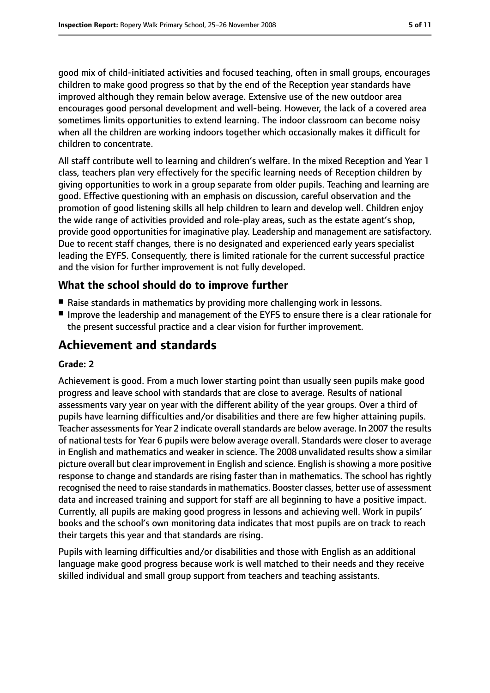good mix of child-initiated activities and focused teaching, often in small groups, encourages children to make good progress so that by the end of the Reception year standards have improved although they remain below average. Extensive use of the new outdoor area encourages good personal development and well-being. However, the lack of a covered area sometimes limits opportunities to extend learning. The indoor classroom can become noisy when all the children are working indoors together which occasionally makes it difficult for children to concentrate.

All staff contribute well to learning and children's welfare. In the mixed Reception and Year 1 class, teachers plan very effectively for the specific learning needs of Reception children by giving opportunities to work in a group separate from older pupils. Teaching and learning are good. Effective questioning with an emphasis on discussion, careful observation and the promotion of good listening skills all help children to learn and develop well. Children enjoy the wide range of activities provided and role-play areas, such as the estate agent's shop, provide good opportunities for imaginative play. Leadership and management are satisfactory. Due to recent staff changes, there is no designated and experienced early years specialist leading the EYFS. Consequently, there is limited rationale for the current successful practice and the vision for further improvement is not fully developed.

## **What the school should do to improve further**

- Raise standards in mathematics by providing more challenging work in lessons.
- Improve the leadership and management of the EYFS to ensure there is a clear rationale for the present successful practice and a clear vision for further improvement.

# **Achievement and standards**

#### **Grade: 2**

Achievement is good. From a much lower starting point than usually seen pupils make good progress and leave school with standards that are close to average. Results of national assessments vary year on year with the different ability of the year groups. Over a third of pupils have learning difficulties and/or disabilities and there are few higher attaining pupils. Teacher assessments for Year 2 indicate overall standards are below average. In 2007 the results of national tests for Year 6 pupils were below average overall. Standards were closer to average in English and mathematics and weaker in science. The 2008 unvalidated results show a similar picture overall but clear improvement in English and science. English isshowing a more positive response to change and standards are rising faster than in mathematics. The school has rightly recognised the need to raise standards in mathematics. Booster classes, better use of assessment data and increased training and support for staff are all beginning to have a positive impact. Currently, all pupils are making good progress in lessons and achieving well. Work in pupils' books and the school's own monitoring data indicates that most pupils are on track to reach their targets this year and that standards are rising.

Pupils with learning difficulties and/or disabilities and those with English as an additional language make good progress because work is well matched to their needs and they receive skilled individual and small group support from teachers and teaching assistants.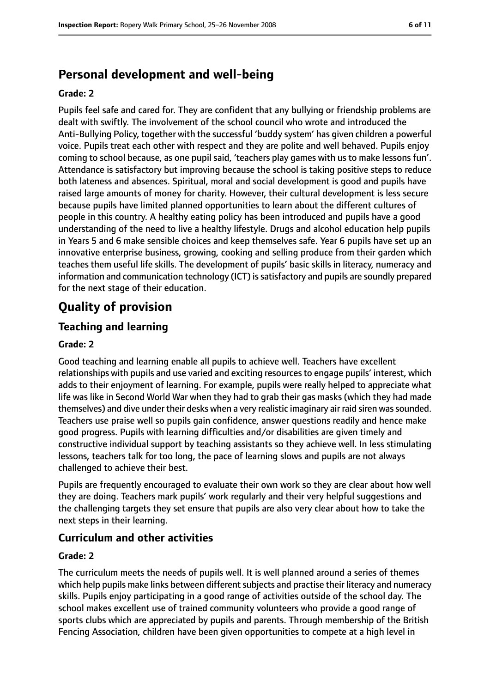# **Personal development and well-being**

#### **Grade: 2**

Pupils feel safe and cared for. They are confident that any bullying or friendship problems are dealt with swiftly. The involvement of the school council who wrote and introduced the Anti-Bullying Policy, together with the successful 'buddy system' has given children a powerful voice. Pupils treat each other with respect and they are polite and well behaved. Pupils enjoy coming to school because, as one pupil said, 'teachers play games with us to make lessons fun'. Attendance is satisfactory but improving because the school is taking positive steps to reduce both lateness and absences. Spiritual, moral and social development is good and pupils have raised large amounts of money for charity. However, their cultural development is less secure because pupils have limited planned opportunities to learn about the different cultures of people in this country. A healthy eating policy has been introduced and pupils have a good understanding of the need to live a healthy lifestyle. Drugs and alcohol education help pupils in Years 5 and 6 make sensible choices and keep themselves safe. Year 6 pupils have set up an innovative enterprise business, growing, cooking and selling produce from their garden which teaches them useful life skills. The development of pupils' basic skills in literacy, numeracy and information and communication technology (ICT) is satisfactory and pupils are soundly prepared for the next stage of their education.

# **Quality of provision**

# **Teaching and learning**

## **Grade: 2**

Good teaching and learning enable all pupils to achieve well. Teachers have excellent relationships with pupils and use varied and exciting resources to engage pupils' interest, which adds to their enjoyment of learning. For example, pupils were really helped to appreciate what life was like in Second World War when they had to grab their gas masks (which they had made themselves) and dive under their desks when a very realistic imaginary air raid siren was sounded. Teachers use praise well so pupils gain confidence, answer questions readily and hence make good progress. Pupils with learning difficulties and/or disabilities are given timely and constructive individual support by teaching assistants so they achieve well. In less stimulating lessons, teachers talk for too long, the pace of learning slows and pupils are not always challenged to achieve their best.

Pupils are frequently encouraged to evaluate their own work so they are clear about how well they are doing. Teachers mark pupils' work regularly and their very helpful suggestions and the challenging targets they set ensure that pupils are also very clear about how to take the next steps in their learning.

## **Curriculum and other activities**

#### **Grade: 2**

The curriculum meets the needs of pupils well. It is well planned around a series of themes which help pupils make links between different subjects and practise their literacy and numeracy skills. Pupils enjoy participating in a good range of activities outside of the school day. The school makes excellent use of trained community volunteers who provide a good range of sports clubs which are appreciated by pupils and parents. Through membership of the British Fencing Association, children have been given opportunities to compete at a high level in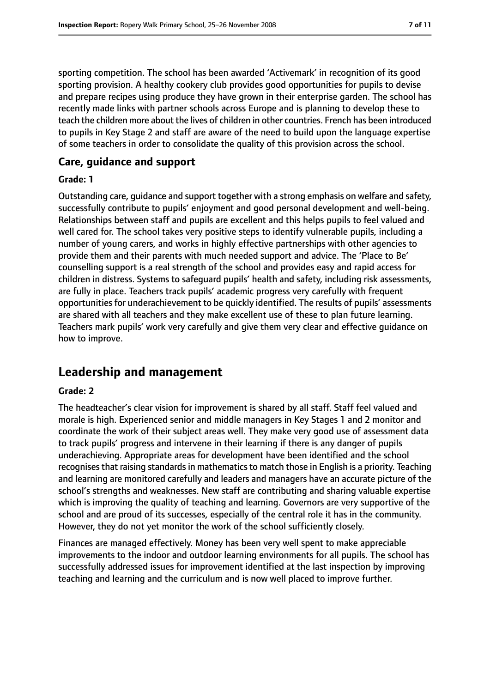sporting competition. The school has been awarded 'Activemark' in recognition of its good sporting provision. A healthy cookery club provides good opportunities for pupils to devise and prepare recipes using produce they have grown in their enterprise garden. The school has recently made links with partner schools across Europe and is planning to develop these to teach the children more about the lives of children in other countries. French has been introduced to pupils in Key Stage 2 and staff are aware of the need to build upon the language expertise of some teachers in order to consolidate the quality of this provision across the school.

## **Care, guidance and support**

#### **Grade: 1**

Outstanding care, guidance and support together with a strong emphasis on welfare and safety, successfully contribute to pupils' enjoyment and good personal development and well-being. Relationships between staff and pupils are excellent and this helps pupils to feel valued and well cared for. The school takes very positive steps to identify vulnerable pupils, including a number of young carers, and works in highly effective partnerships with other agencies to provide them and their parents with much needed support and advice. The 'Place to Be' counselling support is a real strength of the school and provides easy and rapid access for children in distress. Systems to safeguard pupils' health and safety, including risk assessments, are fully in place. Teachers track pupils' academic progress very carefully with frequent opportunities for underachievement to be quickly identified. The results of pupils' assessments are shared with all teachers and they make excellent use of these to plan future learning. Teachers mark pupils' work very carefully and give them very clear and effective guidance on how to improve.

# **Leadership and management**

#### **Grade: 2**

The headteacher's clear vision for improvement is shared by all staff. Staff feel valued and morale is high. Experienced senior and middle managers in Key Stages 1 and 2 monitor and coordinate the work of their subject areas well. They make very good use of assessment data to track pupils' progress and intervene in their learning if there is any danger of pupils underachieving. Appropriate areas for development have been identified and the school recognises that raising standards in mathematics to match those in English is a priority. Teaching and learning are monitored carefully and leaders and managers have an accurate picture of the school's strengths and weaknesses. New staff are contributing and sharing valuable expertise which is improving the quality of teaching and learning. Governors are very supportive of the school and are proud of its successes, especially of the central role it has in the community. However, they do not yet monitor the work of the school sufficiently closely.

Finances are managed effectively. Money has been very well spent to make appreciable improvements to the indoor and outdoor learning environments for all pupils. The school has successfully addressed issues for improvement identified at the last inspection by improving teaching and learning and the curriculum and is now well placed to improve further.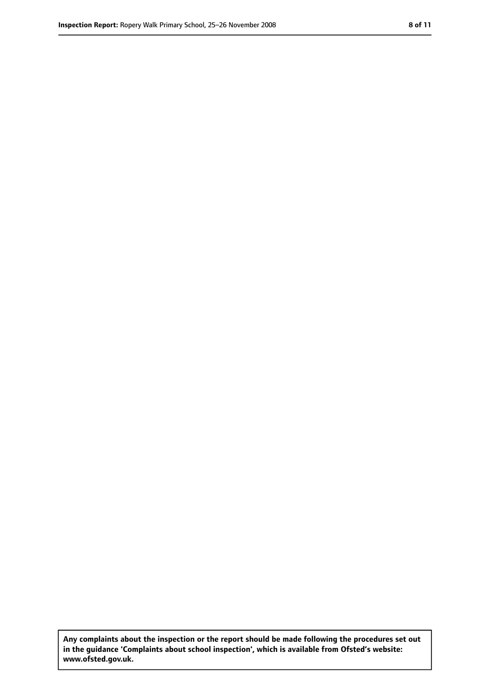**Any complaints about the inspection or the report should be made following the procedures set out in the guidance 'Complaints about school inspection', which is available from Ofsted's website: www.ofsted.gov.uk.**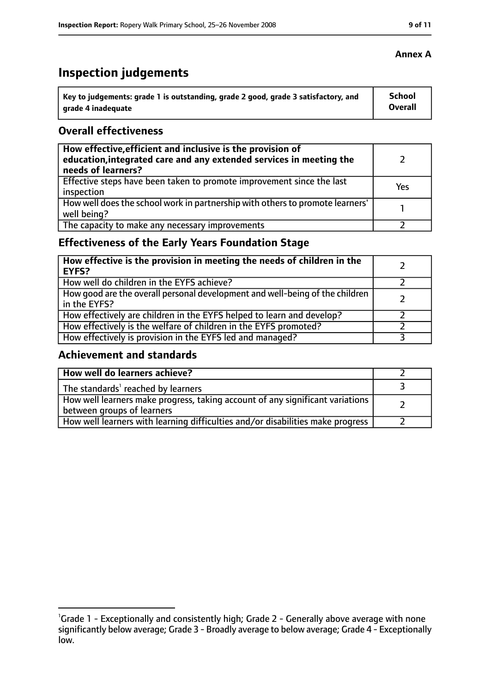# **Inspection judgements**

| Key to judgements: grade 1 is outstanding, grade 2 good, grade 3 satisfactory, and | School  |
|------------------------------------------------------------------------------------|---------|
| arade 4 inadequate                                                                 | Overall |

## **Overall effectiveness**

| How effective, efficient and inclusive is the provision of<br>education, integrated care and any extended services in meeting the<br>needs of learners? |     |
|---------------------------------------------------------------------------------------------------------------------------------------------------------|-----|
| Effective steps have been taken to promote improvement since the last<br>inspection                                                                     | Yes |
| How well does the school work in partnership with others to promote learners'<br>well being?                                                            |     |
| The capacity to make any necessary improvements                                                                                                         |     |

# **Effectiveness of the Early Years Foundation Stage**

| How effective is the provision in meeting the needs of children in the<br><b>EYFS?</b>       |  |
|----------------------------------------------------------------------------------------------|--|
| How well do children in the EYFS achieve?                                                    |  |
| How good are the overall personal development and well-being of the children<br>in the EYFS? |  |
| How effectively are children in the EYFS helped to learn and develop?                        |  |
| How effectively is the welfare of children in the EYFS promoted?                             |  |
| How effectively is provision in the EYFS led and managed?                                    |  |

# **Achievement and standards**

| How well do learners achieve?                                                                               |  |
|-------------------------------------------------------------------------------------------------------------|--|
| The standards <sup>1</sup> reached by learners                                                              |  |
| How well learners make progress, taking account of any significant variations<br>between groups of learners |  |
| How well learners with learning difficulties and/or disabilities make progress                              |  |

## **Annex A**

<sup>&</sup>lt;sup>1</sup>Grade 1 - Exceptionally and consistently high; Grade 2 - Generally above average with none significantly below average; Grade 3 - Broadly average to below average; Grade 4 - Exceptionally low.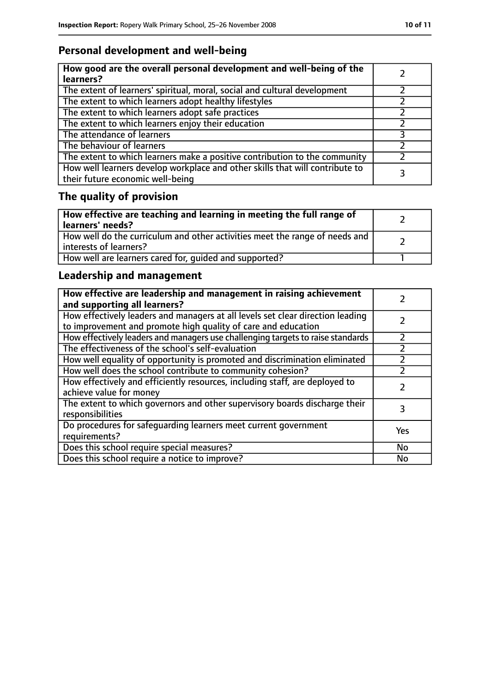# **Personal development and well-being**

| How good are the overall personal development and well-being of the<br>learners?                                 |  |
|------------------------------------------------------------------------------------------------------------------|--|
| The extent of learners' spiritual, moral, social and cultural development                                        |  |
| The extent to which learners adopt healthy lifestyles                                                            |  |
| The extent to which learners adopt safe practices                                                                |  |
| The extent to which learners enjoy their education                                                               |  |
| The attendance of learners                                                                                       |  |
| The behaviour of learners                                                                                        |  |
| The extent to which learners make a positive contribution to the community                                       |  |
| How well learners develop workplace and other skills that will contribute to<br>their future economic well-being |  |

# **The quality of provision**

| How effective are teaching and learning in meeting the full range of<br>learners' needs?              |  |
|-------------------------------------------------------------------------------------------------------|--|
| How well do the curriculum and other activities meet the range of needs and<br>interests of learners? |  |
| How well are learners cared for, quided and supported?                                                |  |

# **Leadership and management**

| How effective are leadership and management in raising achievement<br>and supporting all learners?                                              |     |
|-------------------------------------------------------------------------------------------------------------------------------------------------|-----|
| How effectively leaders and managers at all levels set clear direction leading<br>to improvement and promote high quality of care and education |     |
| How effectively leaders and managers use challenging targets to raise standards                                                                 |     |
| The effectiveness of the school's self-evaluation                                                                                               |     |
| How well equality of opportunity is promoted and discrimination eliminated                                                                      |     |
| How well does the school contribute to community cohesion?                                                                                      |     |
| How effectively and efficiently resources, including staff, are deployed to<br>achieve value for money                                          |     |
| The extent to which governors and other supervisory boards discharge their<br>responsibilities                                                  |     |
| Do procedures for safeguarding learners meet current government<br>requirements?                                                                | Yes |
| Does this school require special measures?                                                                                                      | No  |
| Does this school require a notice to improve?                                                                                                   | No  |